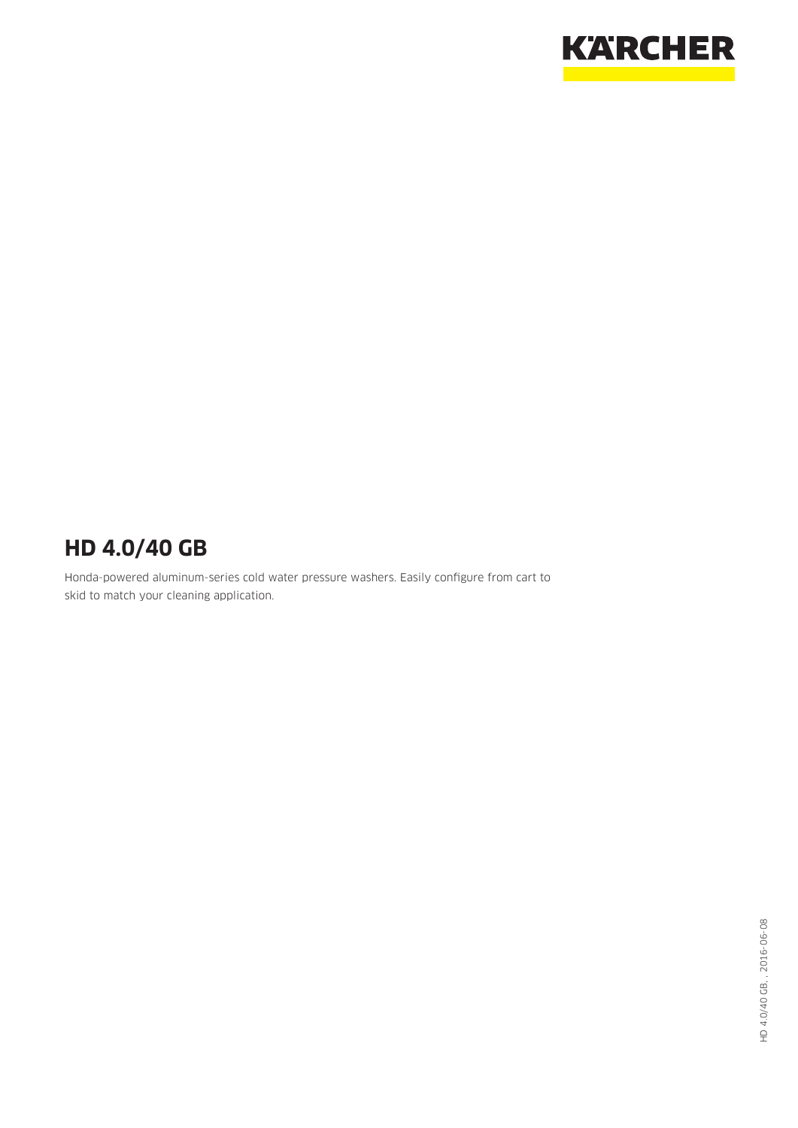

Honda-powered aluminum-series cold water pressure washers. Easily configure from cart to skid to match your cleaning application.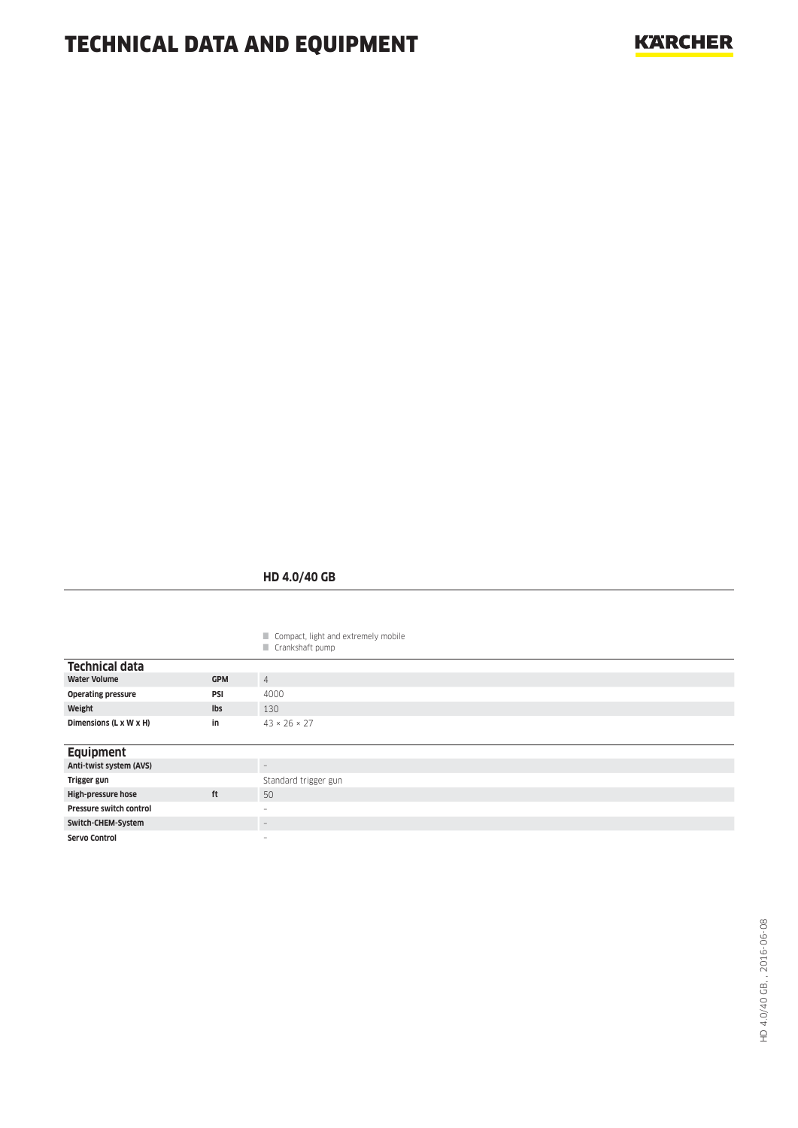|                                |            | Compact, light and extremely mobile<br>Crankshaft pump |
|--------------------------------|------------|--------------------------------------------------------|
| <b>Technical data</b>          |            |                                                        |
| <b>Water Volume</b>            | <b>GPM</b> | $\overline{4}$                                         |
| <b>Operating pressure</b>      | PSI        | 4000                                                   |
| Weight                         | <b>Ibs</b> | 130                                                    |
| Dimensions (L x W x H)         | in         | $43 \times 26 \times 27$                               |
|                                |            |                                                        |
| <b>Equipment</b>               |            |                                                        |
| Anti-twist system (AVS)        |            | $\qquad \qquad -$                                      |
| Trigger gun                    |            | Standard trigger gun                                   |
| High-pressure hose             | ft         | 50                                                     |
| <b>Pressure switch control</b> |            | $\sim$                                                 |
| Switch-CHEM-System             |            | $\qquad \qquad$                                        |
| <b>Servo Control</b>           |            | $\overline{\phantom{a}}$                               |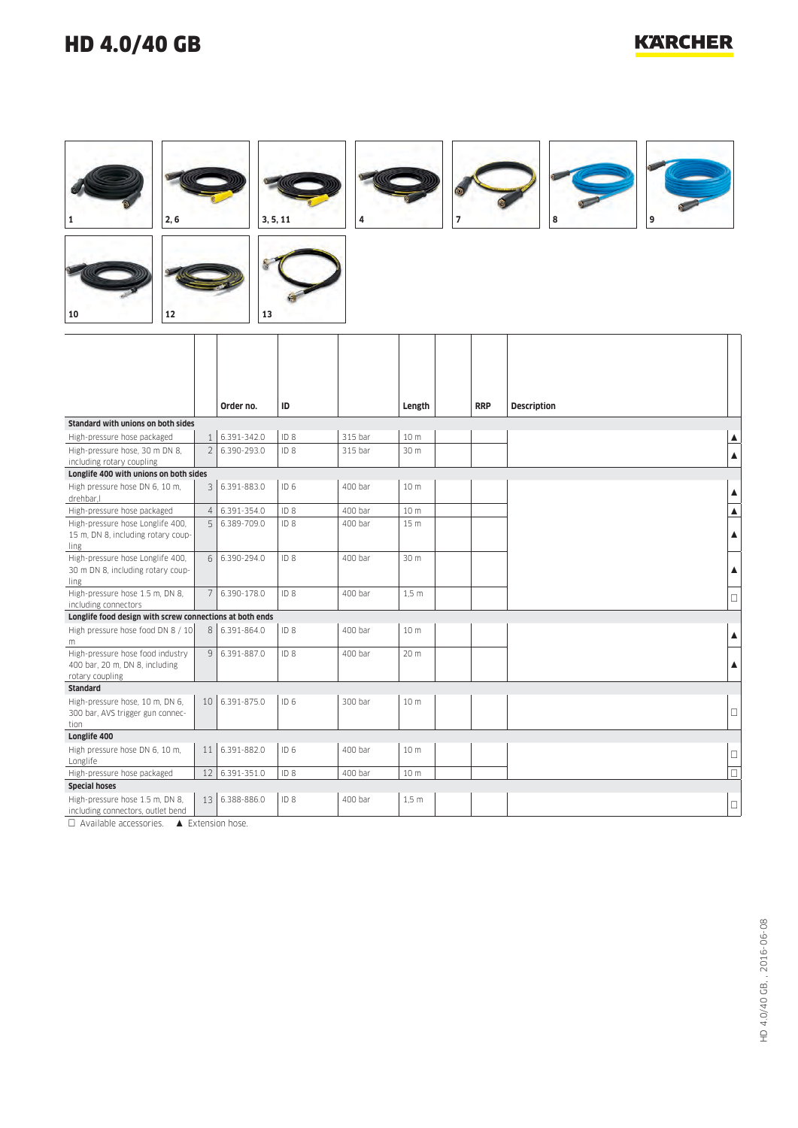#### **KARCHER**

















|                                                                                       |                | Order no.   | ID              |         | Length           | <b>RRP</b> | <b>Description</b> |                  |
|---------------------------------------------------------------------------------------|----------------|-------------|-----------------|---------|------------------|------------|--------------------|------------------|
| Standard with unions on both sides                                                    |                |             |                 |         |                  |            |                    |                  |
| High-pressure hose packaged                                                           | $\mathbf{1}$   | 6.391-342.0 | ID <sub>8</sub> | 315 bar | 10 m             |            |                    | $\blacktriangle$ |
| High-pressure hose, 30 m DN 8,<br>including rotary coupling                           | $\overline{2}$ | 6.390-293.0 | ID <sub>8</sub> | 315 bar | 30 m             |            |                    | $\blacktriangle$ |
| Longlife 400 with unions on both sides                                                |                |             |                 |         |                  |            |                    |                  |
| High pressure hose DN 6, 10 m,<br>drehbar,l                                           | 3              | 6.391-883.0 | ID <sub>6</sub> | 400 bar | 10 <sub>m</sub>  |            |                    | $\blacktriangle$ |
| High-pressure hose packaged                                                           | $\overline{4}$ | 6.391-354.0 | ID <sub>8</sub> | 400 bar | 10 m             |            |                    | $\blacktriangle$ |
| High-pressure hose Longlife 400,<br>15 m, DN 8, including rotary coup-<br>ling        | 5              | 6.389-709.0 | ID <sub>8</sub> | 400 bar | 15 m             |            |                    | $\blacktriangle$ |
| High-pressure hose Longlife 400,<br>30 m DN 8, including rotary coup-<br>ling         | 6              | 6.390-294.0 | ID <sub>8</sub> | 400 bar | 30 m             |            |                    | ▲                |
| High-pressure hose 1.5 m, DN 8,<br>including connectors                               | 7              | 6.390-178.0 | ID <sub>8</sub> | 400 bar | 1.5 <sub>m</sub> |            |                    | $\Box$           |
| Longlife food design with screw connections at both ends                              |                |             |                 |         |                  |            |                    |                  |
| High pressure hose food DN 8 / 10<br>m                                                | 8              | 6.391-864.0 | ID <sub>8</sub> | 400 bar | 10 m             |            |                    | $\blacktriangle$ |
| High-pressure hose food industry<br>400 bar, 20 m, DN 8, including<br>rotary coupling | 9              | 6.391-887.0 | ID <sub>8</sub> | 400 bar | 20 m             |            |                    | ▲                |
| <b>Standard</b>                                                                       |                |             |                 |         |                  |            |                    |                  |
| High-pressure hose, 10 m, DN 6,<br>300 bar, AVS trigger gun connec-<br>tion           | 10             | 6.391-875.0 | ID <sub>6</sub> | 300 bar | 10 m             |            |                    | $\Box$           |
| Longlife 400                                                                          |                |             |                 |         |                  |            |                    |                  |
| High pressure hose DN 6, 10 m,<br>Longlife                                            | 11             | 6.391-882.0 | ID <sub>6</sub> | 400 bar | 10 <sub>m</sub>  |            |                    | $\Box$           |
| High-pressure hose packaged                                                           | 12             | 6.391-351.0 | ID <sub>8</sub> | 400 bar | 10 m             |            |                    | $\Box$           |
| <b>Special hoses</b>                                                                  |                |             |                 |         |                  |            |                    |                  |
| High-pressure hose 1.5 m, DN 8,<br>including connectors, outlet bend                  | 13             | 6.388-886.0 | ID <sub>8</sub> | 400 bar | 1.5 <sub>m</sub> |            |                    | $\Box$           |

 $\Box$  Available accessories.  $\blacktriangle$  Extension hose.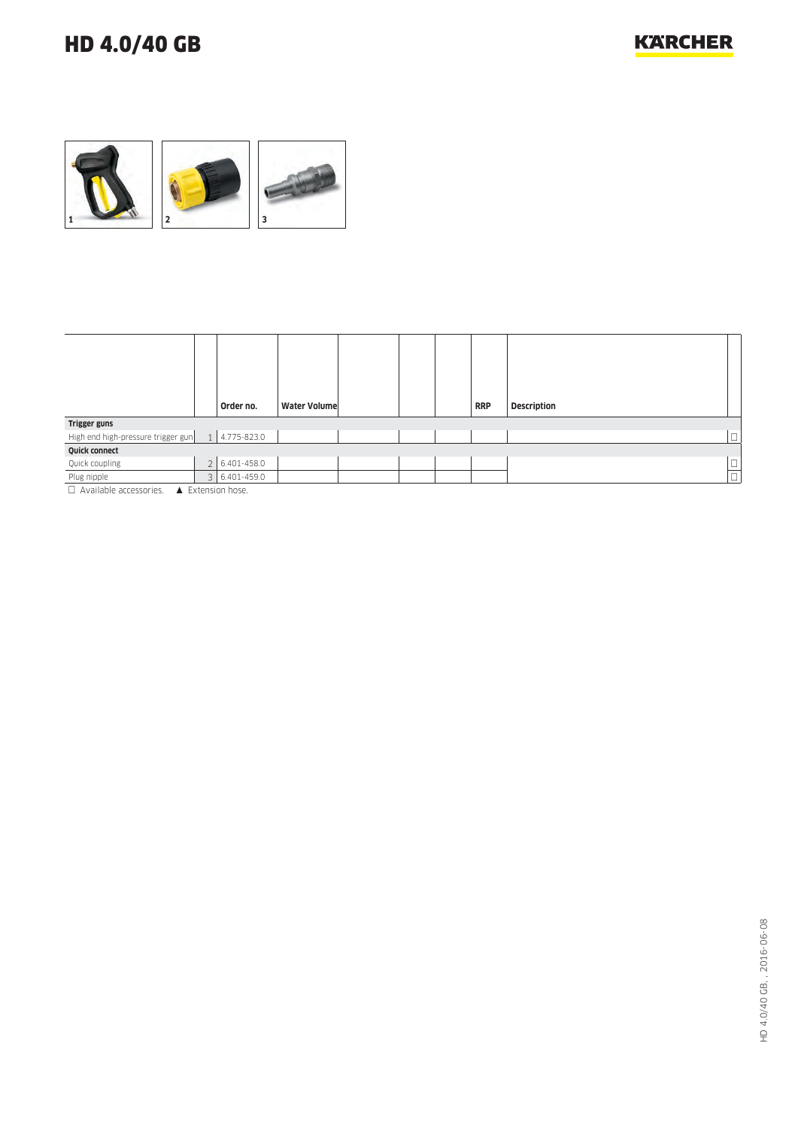**KARCHER** 



|                                    |          | Order no.        | Water Volume |  | <b>RRP</b> | Description |                     |
|------------------------------------|----------|------------------|--------------|--|------------|-------------|---------------------|
| Trigger guns                       |          |                  |              |  |            |             |                     |
| High end high-pressure trigger gun | $1\vert$ | 4.775-823.0      |              |  |            |             | $\Box$              |
| Quick connect                      |          |                  |              |  |            |             |                     |
| Quick coupling                     |          | 2 6.401-458.0    |              |  |            |             |                     |
| Plug nipple                        |          | 3 6.401-459.0    |              |  |            |             | $\frac{\Box}{\Box}$ |
| $\Box$ Available accessories       |          | A Extension hose |              |  |            |             |                     |

Available accessories. ▲ Extension hose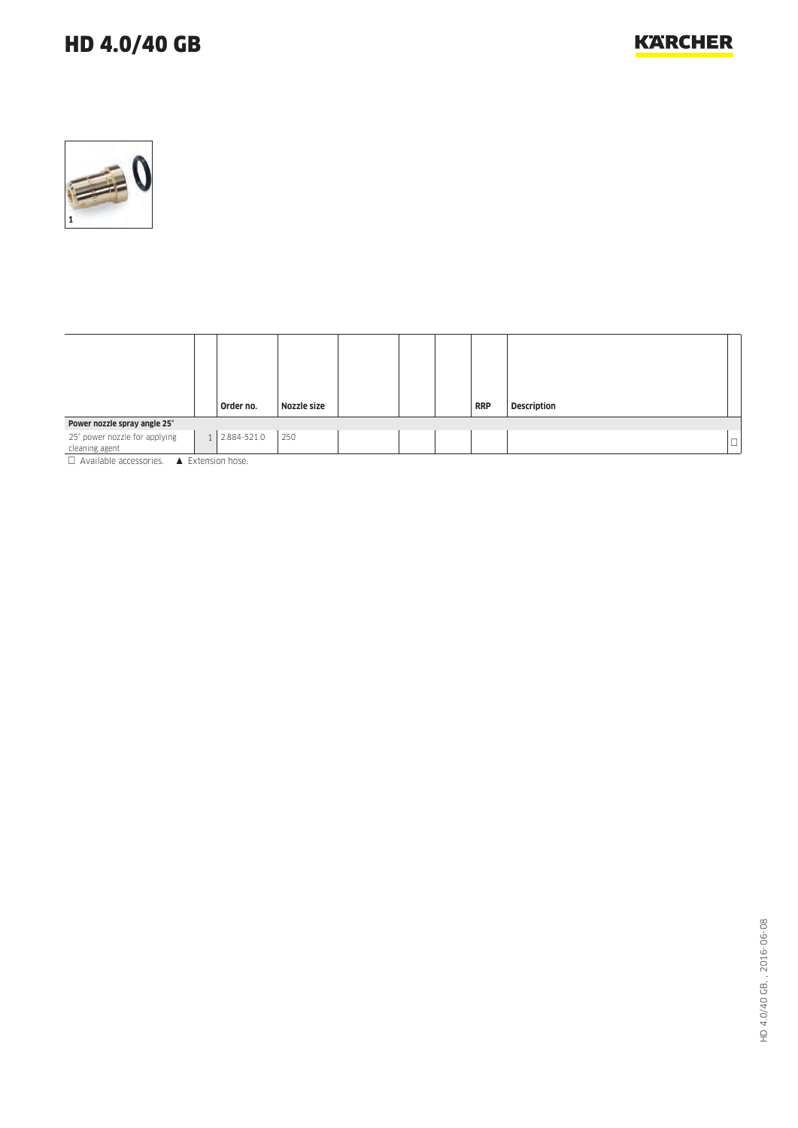

|                                                                |                | Order no.   | Nozzle size |  |  |  | <b>RRP</b> | <b>Description</b> |        |  |
|----------------------------------------------------------------|----------------|-------------|-------------|--|--|--|------------|--------------------|--------|--|
| Power nozzle spray angle 25°                                   |                |             |             |  |  |  |            |                    |        |  |
| 25° power nozzle for applying<br>cleaning agent                | 1 <sup>1</sup> | 2.884-521.0 | 250         |  |  |  |            |                    | $\Box$ |  |
| $\Box$ Available accessories. $\blacktriangle$ Extension hose. |                |             |             |  |  |  |            |                    |        |  |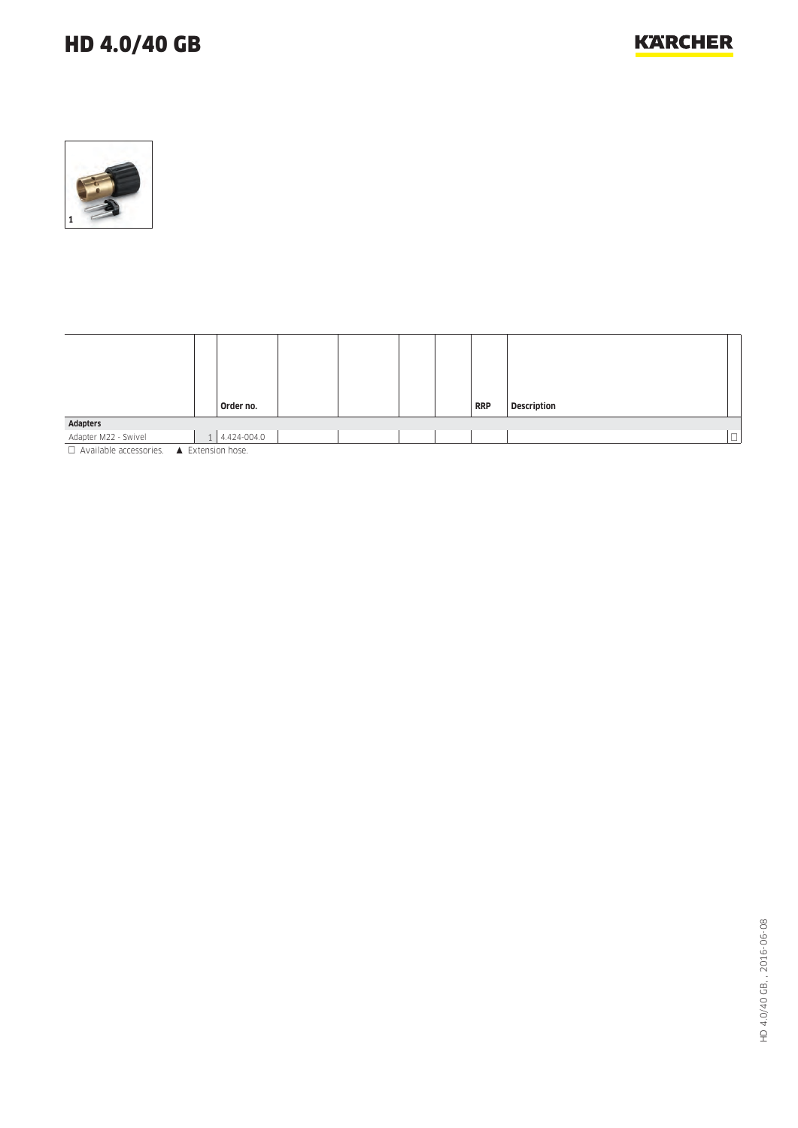

|                                                                |  | Order no.     |  |  |  |  | <b>RRP</b> | <b>Description</b> |  |  |
|----------------------------------------------------------------|--|---------------|--|--|--|--|------------|--------------------|--|--|
| <b>Adapters</b>                                                |  |               |  |  |  |  |            |                    |  |  |
| Adapter M22 - Swivel                                           |  | 1 4.424-004.0 |  |  |  |  |            | $\Box$             |  |  |
| $\Box$ Available accessories. $\blacktriangle$ Extension hose. |  |               |  |  |  |  |            |                    |  |  |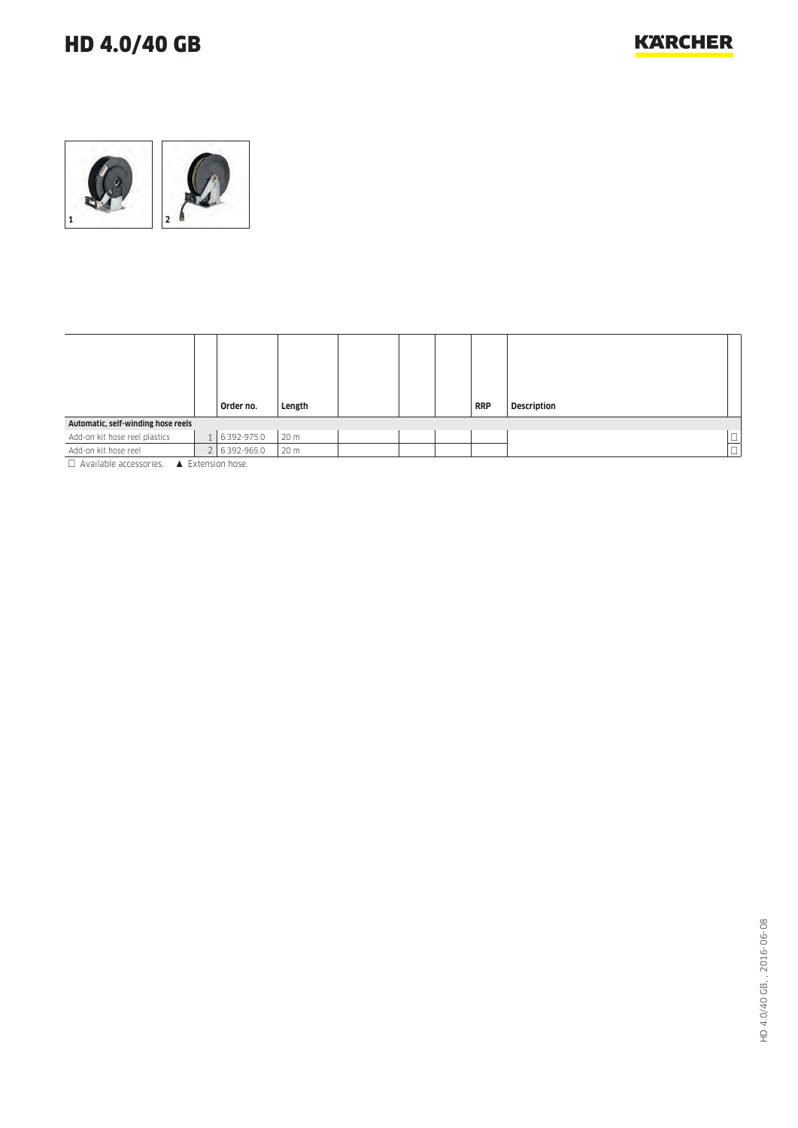

|                                                                |  | Order no.     | Length |  |  |  | <b>RRP</b> | Description |                     |  |
|----------------------------------------------------------------|--|---------------|--------|--|--|--|------------|-------------|---------------------|--|
| Automatic, self-winding hose reels                             |  |               |        |  |  |  |            |             |                     |  |
| Add-on kit hose reel plastics                                  |  | 1 6.392-975.0 | 20 m   |  |  |  |            |             | $\frac{\Box}{\Box}$ |  |
| Add-on kit hose reel                                           |  | 2 6.392-965.0 | 20 m   |  |  |  |            |             |                     |  |
| $\Box$ Available accessories. $\blacktriangle$ Extension hose. |  |               |        |  |  |  |            |             |                     |  |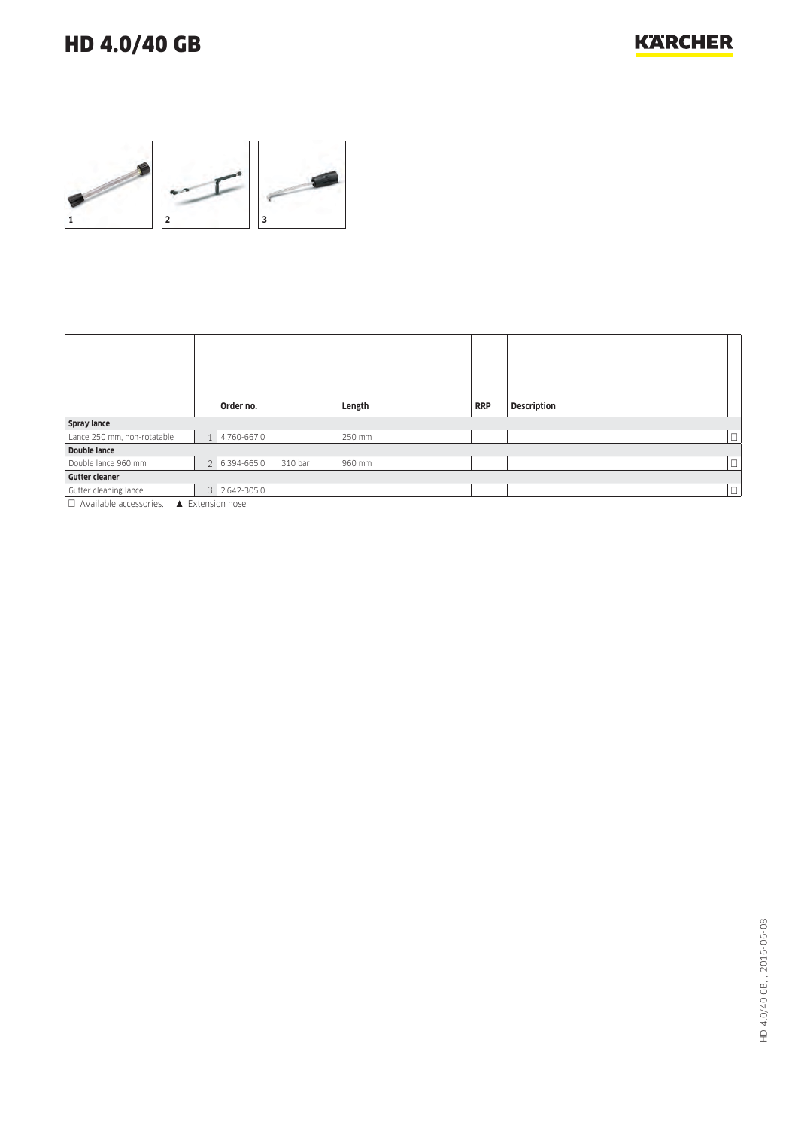

|                                                                |  | Order no.     |         | Length |  |  | <b>RRP</b> | <b>Description</b> |        |
|----------------------------------------------------------------|--|---------------|---------|--------|--|--|------------|--------------------|--------|
| Spray lance                                                    |  |               |         |        |  |  |            |                    |        |
| Lance 250 mm, non-rotatable                                    |  | 1 4.760-667.0 |         | 250 mm |  |  |            |                    | $\Box$ |
| Double lance                                                   |  |               |         |        |  |  |            |                    |        |
| Double lance 960 mm                                            |  | 2 6.394-665.0 | 310 bar | 960 mm |  |  |            |                    | $\Box$ |
| <b>Gutter cleaner</b>                                          |  |               |         |        |  |  |            |                    |        |
| Gutter cleaning lance                                          |  | 3 2.642-305.0 |         |        |  |  |            |                    | $\Box$ |
| $\Box$ Available accessories. $\blacktriangle$ Extension hose. |  |               |         |        |  |  |            |                    |        |